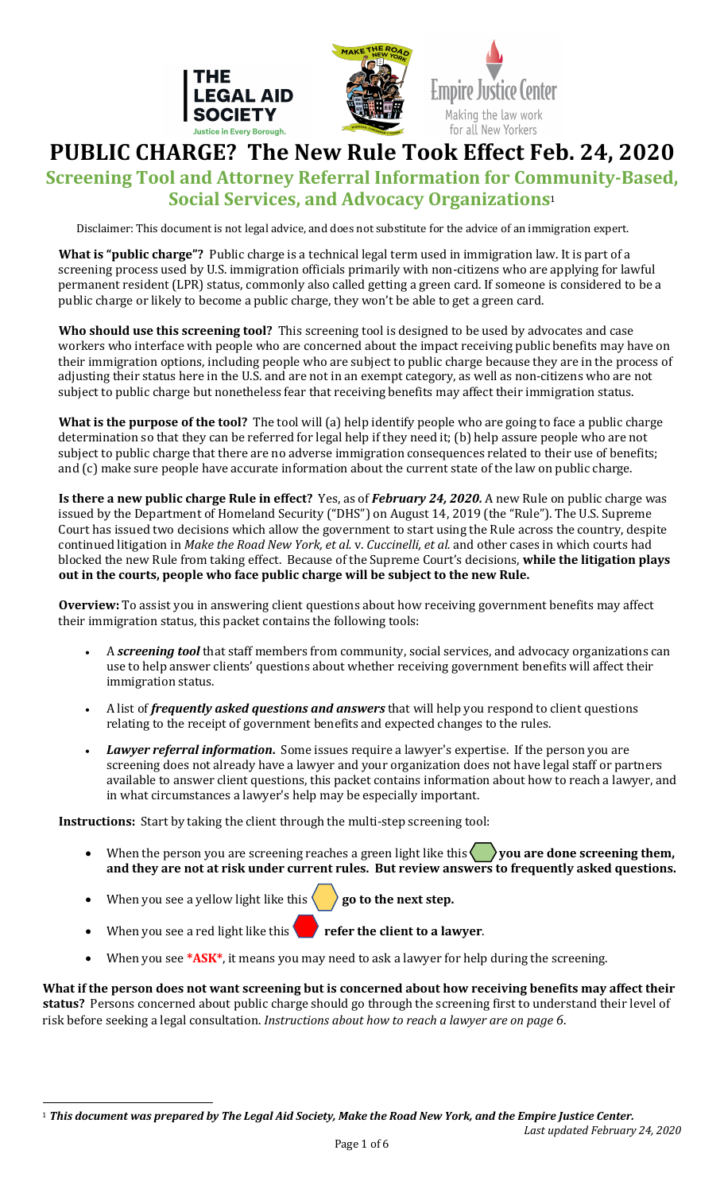



Empire Justice Center Making the law work for all New Yorkers

PUBLIC CHARGE? The New Rule Took Effect Feb. 24, 2020 **Screening Tool and Attorney Referral Information for Community-Based, Social Services, and Advocacy Organizations**<sup>1</sup>

Disclaimer: This document is not legal advice, and does not substitute for the advice of an immigration expert.

**What is "public charge"?** Public charge is a technical legal term used in immigration law. It is part of a screening process used by U.S. immigration officials primarily with non-citizens who are applying for lawful permanent resident (LPR) status, commonly also called getting a green card. If someone is considered to be a public charge or likely to become a public charge, they won't be able to get a green card.

Who should use this screening tool? This screening tool is designed to be used by advocates and case workers who interface with people who are concerned about the impact receiving public benefits may have on their immigration options, including people who are subject to public charge because they are in the process of adjusting their status here in the U.S. and are not in an exempt category, as well as non-citizens who are not subject to public charge but nonetheless fear that receiving benefits may affect their immigration status.

**What is the purpose of the tool?** The tool will (a) help identify people who are going to face a public charge determination so that they can be referred for legal help if they need it; (b) help assure people who are not subject to public charge that there are no adverse immigration consequences related to their use of benefits; and (c) make sure people have accurate information about the current state of the law on public charge.

**Is there a new public charge Rule in effect?** Yes, as of *February 24, 2020.* A new Rule on public charge was issued by the Department of Homeland Security ("DHS") on August 14, 2019 (the "Rule"). The U.S. Supreme Court has issued two decisions which allow the government to start using the Rule across the country, despite continued litigation in *Make the Road New York, et al. v. Cuccinelli, et al.* and other cases in which courts had blocked the new Rule from taking effect. Because of the Supreme Court's decisions, while the litigation plays out in the courts, people who face public charge will be subject to the new Rule.

**Overview:** To assist you in answering client questions about how receiving government benefits may affect their immigration status, this packet contains the following tools:

- A **screening tool** that staff members from community, social services, and advocacy organizations can use to help answer clients' questions about whether receiving government benefits will affect their immigration status.
- A list of *frequently asked questions and answers* that will help you respond to client questions relating to the receipt of government benefits and expected changes to the rules.
- **Lawyer referral information.** Some issues require a lawyer's expertise. If the person you are screening does not already have a lawyer and your organization does not have legal staff or partners available to answer client questions, this packet contains information about how to reach a lawyer, and in what circumstances a lawyer's help may be especially important.

**Instructions:** Start by taking the client through the multi-step screening tool:

- When the person you are screening reaches a green light like this  $\langle \rangle$  you are done screening them, and they are not at risk under current rules. But review answers to frequently asked questions.
- When you see a yellow light like this  $\langle \rangle$  go to the next step.
- When you see a red light like this  $\bullet$  refer the client to a lawyer.
- When you see \*ASK\*, it means you may need to ask a lawyer for help during the screening.

What if the person does not want screening but is concerned about how receiving benefits may affect their status? Persons concerned about public charge should go through the screening first to understand their level of risk before seeking a legal consultation. *Instructions about how to reach a lawyer are on page* 6.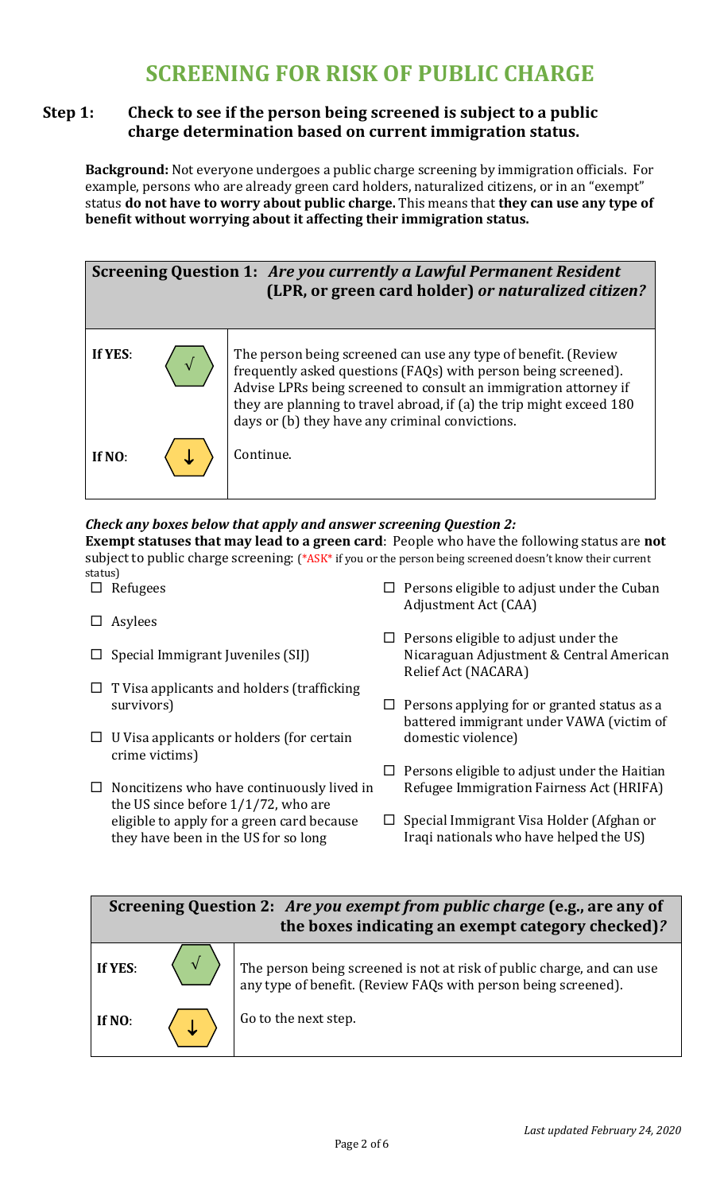# **SCREENING FOR RISK OF PUBLIC CHARGE**

# **Step 1:** Check to see if the person being screened is subject to a public **charge determination based on current immigration status.**

**Background:** Not everyone undergoes a public charge screening by immigration officials. For example, persons who are already green card holders, naturalized citizens, or in an "exempt" status **do not have to worry about public charge.** This means that **they can use any type of** benefit without worrying about it affecting their immigration status.



# *Check any boxes below that apply and answer screening Question 2:*

**Exempt statuses that may lead to a green card**: People who have the following status are not subject to public charge screening: (\*ASK\* if you or the person being screened doesn't know their current status)

- $\square$  Refugees
- $\square$  Asylees
- $\square$  Special Immigrant Juveniles (SIJ)
- $\Box$  T Visa applicants and holders (trafficking survivors)
- $\Box$  U Visa applicants or holders (for certain crime victims)
- $\square$  Noncitizens who have continuously lived in the US since before  $1/1/72$ , who are eligible to apply for a green card because they have been in the US for so long
- $\Box$  Persons eligible to adjust under the Cuban Adjustment Act (CAA)
- $\Box$  Persons eligible to adjust under the Nicaraguan Adjustment & Central American Relief Act (NACARA)
- $\Box$  Persons applying for or granted status as a battered immigrant under VAWA (victim of domestic violence)
- $\Box$  Persons eligible to adjust under the Haitian Refugee Immigration Fairness Act (HRIFA)
- $\Box$  Special Immigrant Visa Holder (Afghan or Iraqi nationals who have helped the US)

# **Screening Question 2: Are you exempt from public charge (e.g., are any of** the boxes indicating an exempt category checked)?



The person being screened is not at risk of public charge, and can use any type of benefit. (Review FAQs with person being screened).

Go to the next step.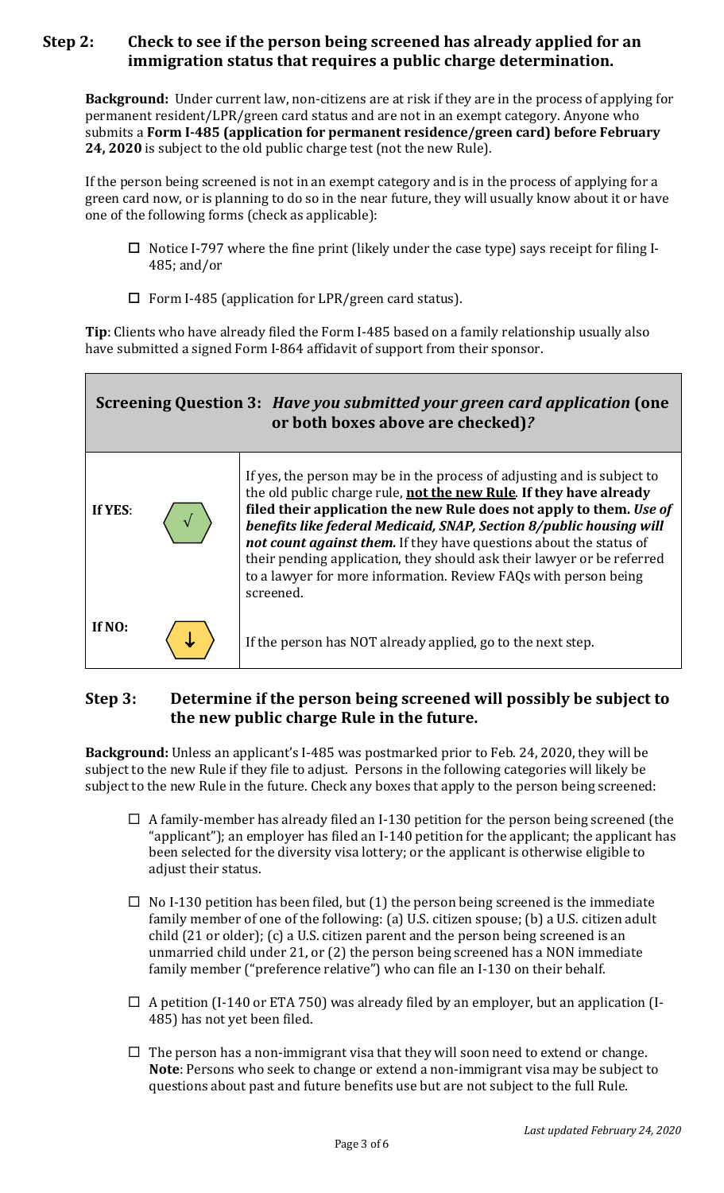# **Step 2:** Check to see if the person being screened has already applied for an immigration status that requires a public charge determination.

**Background:** Under current law, non-citizens are at risk if they are in the process of applying for permanent resident/LPR/green card status and are not in an exempt category. Anyone who submits a Form I-485 (application for permanent residence/green card) before February **24, 2020** is subject to the old public charge test (not the new Rule).

If the person being screened is not in an exempt category and is in the process of applying for a green card now, or is planning to do so in the near future, they will usually know about it or have one of the following forms (check as applicable):

- $\Box$  Notice I-797 where the fine print (likely under the case type) says receipt for filing I-485; and/or
- $\square$  Form I-485 (application for LPR/green card status).

**Tip**: Clients who have already filed the Form I-485 based on a family relationship usually also have submitted a signed Form I-864 affidavit of support from their sponsor.

| Screening Question 3: Have you submitted your green card application (one<br>or both boxes above are checked)? |  |                                                                                                                                                                                                                                                                                                                                                                                                                                                                                                                             |
|----------------------------------------------------------------------------------------------------------------|--|-----------------------------------------------------------------------------------------------------------------------------------------------------------------------------------------------------------------------------------------------------------------------------------------------------------------------------------------------------------------------------------------------------------------------------------------------------------------------------------------------------------------------------|
| If YES:                                                                                                        |  | If yes, the person may be in the process of adjusting and is subject to<br>the old public charge rule, not the new Rule. If they have already<br>filed their application the new Rule does not apply to them. Use of<br>benefits like federal Medicaid, SNAP, Section 8/public housing will<br>not count against them. If they have questions about the status of<br>their pending application, they should ask their lawyer or be referred<br>to a lawyer for more information. Review FAQs with person being<br>screened. |
| If NO:                                                                                                         |  | If the person has NOT already applied, go to the next step.                                                                                                                                                                                                                                                                                                                                                                                                                                                                 |

# **Step 3:** Determine if the person being screened will possibly be subject to **the new public charge Rule in the future.**

**Background:** Unless an applicant's I-485 was postmarked prior to Feb. 24, 2020, they will be subject to the new Rule if they file to adjust. Persons in the following categories will likely be subject to the new Rule in the future. Check any boxes that apply to the person being screened:

- $\Box$  A family-member has already filed an I-130 petition for the person being screened (the "applicant"); an employer has filed an I-140 petition for the applicant; the applicant has been selected for the diversity visa lottery; or the applicant is otherwise eligible to adjust their status.
- $\Box$  No I-130 petition has been filed, but (1) the person being screened is the immediate family member of one of the following: (a) U.S. citizen spouse; (b) a U.S. citizen adult child  $(21$  or older);  $(c)$  a U.S. citizen parent and the person being screened is an unmarried child under 21, or  $(2)$  the person being screened has a NON immediate family member ("preference relative") who can file an I-130 on their behalf.
- $\Box$  A petition (I-140 or ETA 750) was already filed by an employer, but an application (I-485) has not yet been filed.
- $\Box$  The person has a non-immigrant visa that they will soon need to extend or change. **Note**: Persons who seek to change or extend a non-immigrant visa may be subject to questions about past and future benefits use but are not subject to the full Rule.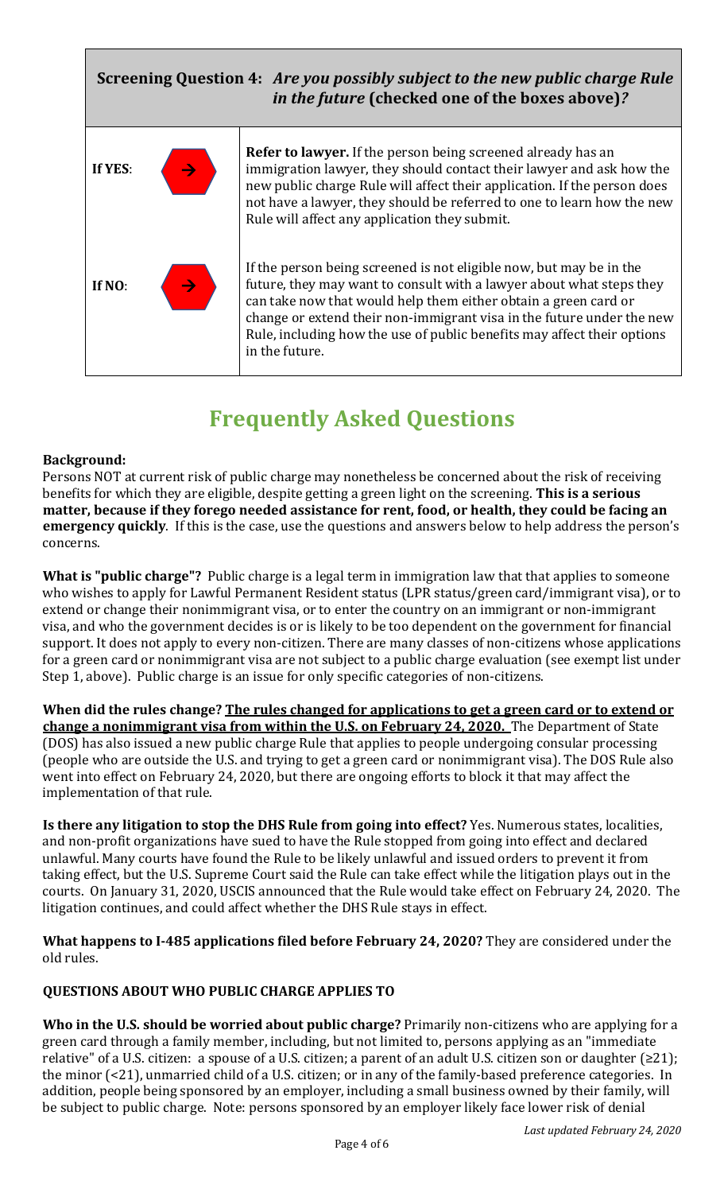# $\rightarrow$  $\rightarrow$ **Screening Question 4: Are you possibly subject to the new public charge Rule** *in the future* (checked one of the boxes above)? **If YES**: **If NO**: **Refer to lawyer.** If the person being screened already has an immigration lawyer, they should contact their lawyer and ask how the new public charge Rule will affect their application. If the person does not have a lawyer, they should be referred to one to learn how the new Rule will affect any application they submit. If the person being screened is not eligible now, but may be in the future, they may want to consult with a lawyer about what steps they can take now that would help them either obtain a green card or change or extend their non-immigrant visa in the future under the new Rule, including how the use of public benefits may affect their options in the future.

# **Frequently Asked Questions**

#### **Background:**

Persons NOT at current risk of public charge may nonetheless be concerned about the risk of receiving benefits for which they are eligible, despite getting a green light on the screening. **This is a serious matter, because if they forego needed assistance for rent, food, or health, they could be facing an emergency quickly**. If this is the case, use the questions and answers below to help address the person's concerns. 

**What is "public charge"?** Public charge is a legal term in immigration law that that applies to someone who wishes to apply for Lawful Permanent Resident status (LPR status/green card/immigrant visa), or to extend or change their nonimmigrant visa, or to enter the country on an immigrant or non-immigrant visa, and who the government decides is or is likely to be too dependent on the government for financial support. It does not apply to every non-citizen. There are many classes of non-citizens whose applications for a green card or nonimmigrant visa are not subject to a public charge evaluation (see exempt list under Step 1, above). Public charge is an issue for only specific categories of non-citizens.

**When did the rules change?** The rules changed for applications to get a green card or to extend or **change a nonimmigrant visa from within the U.S. on February 24, 2020.** The Department of State (DOS) has also issued a new public charge Rule that applies to people undergoing consular processing (people who are outside the U.S. and trying to get a green card or nonimmigrant visa). The DOS Rule also went into effect on February 24, 2020, but there are ongoing efforts to block it that may affect the implementation of that rule.

**Is there any litigation to stop the DHS Rule from going into effect?** Yes. Numerous states, localities, and non-profit organizations have sued to have the Rule stopped from going into effect and declared unlawful. Many courts have found the Rule to be likely unlawful and issued orders to prevent it from taking effect, but the U.S. Supreme Court said the Rule can take effect while the litigation plays out in the courts. On January 31, 2020, USCIS announced that the Rule would take effect on February 24, 2020. The litigation continues, and could affect whether the DHS Rule stays in effect.

**What happens to I-485 applications filed before February 24, 2020?** They are considered under the old rules.

#### **QUESTIONS ABOUT WHO PUBLIC CHARGE APPLIES TO**

**Who in the U.S. should be worried about public charge?** Primarily non-citizens who are applying for a green card through a family member, including, but not limited to, persons applying as an "immediate relative" of a U.S. citizen: a spouse of a U.S. citizen; a parent of an adult U.S. citizen son or daughter  $(≥21)$ ; the minor  $\left($  <21), unmarried child of a U.S. citizen; or in any of the family-based preference categories. In addition, people being sponsored by an employer, including a small business owned by their family, will be subject to public charge. Note: persons sponsored by an employer likely face lower risk of denial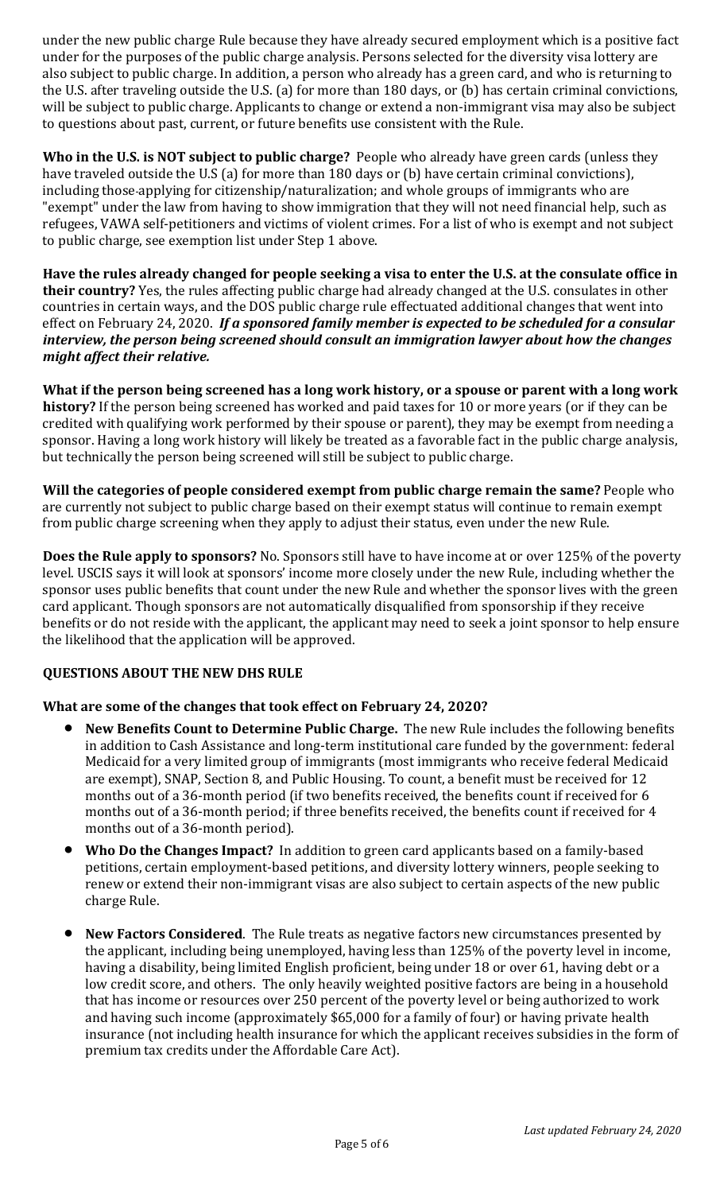under the new public charge Rule because they have already secured employment which is a positive fact under for the purposes of the public charge analysis. Persons selected for the diversity visa lottery are also subject to public charge. In addition, a person who already has a green card, and who is returning to the U.S. after traveling outside the U.S. (a) for more than 180 days, or (b) has certain criminal convictions, will be subject to public charge. Applicants to change or extend a non-immigrant visa may also be subject to questions about past, current, or future benefits use consistent with the Rule.

**Who in the U.S. is NOT subject to public charge?** People who already have green cards (unless they have traveled outside the U.S (a) for more than 180 days or (b) have certain criminal convictions), including those-applying for citizenship/naturalization; and whole groups of immigrants who are "exempt" under the law from having to show immigration that they will not need financial help, such as refugees, VAWA self-petitioners and victims of violent crimes. For a list of who is exempt and not subject to public charge, see exemption list under Step 1 above.

Have the rules already changed for people seeking a visa to enter the U.S. at the consulate office in **their country?** Yes, the rules affecting public charge had already changed at the U.S. consulates in other countries in certain ways, and the DOS public charge rule effectuated additional changes that went into effect on February 24, 2020. If a sponsored family member is expected to be scheduled for a consular *interview, the person being screened should consult an immigration lawyer about how the changes might affect their relative.* 

What if the person being screened has a long work history, or a spouse or parent with a long work history? If the person being screened has worked and paid taxes for 10 or more years (or if they can be credited with qualifying work performed by their spouse or parent), they may be exempt from needing a sponsor. Having a long work history will likely be treated as a favorable fact in the public charge analysis, but technically the person being screened will still be subject to public charge.

**Will the categories of people considered exempt from public charge remain the same?** People who are currently not subject to public charge based on their exempt status will continue to remain exempt from public charge screening when they apply to adjust their status, even under the new Rule.

**Does the Rule apply to sponsors?** No. Sponsors still have to have income at or over 125% of the poverty level. USCIS says it will look at sponsors' income more closely under the new Rule, including whether the sponsor uses public benefits that count under the new Rule and whether the sponsor lives with the green card applicant. Though sponsors are not automatically disqualified from sponsorship if they receive benefits or do not reside with the applicant, the applicant may need to seek a joint sponsor to help ensure the likelihood that the application will be approved.

### **QUESTIONS ABOUT THE NEW DHS RULE**

#### **What are some of the changes that took effect on February 24, 2020?**

- **New Benefits Count to Determine Public Charge.** The new Rule includes the following benefits in addition to Cash Assistance and long-term institutional care funded by the government: federal Medicaid for a very limited group of immigrants (most immigrants who receive federal Medicaid are exempt), SNAP, Section 8, and Public Housing. To count, a benefit must be received for 12 months out of a 36-month period (if two benefits received, the benefits count if received for 6 months out of a 36-month period; if three benefits received, the benefits count if received for 4 months out of a 36-month period).
- **Who Do the Changes Impact?** In addition to green card applicants based on a family-based petitions, certain employment-based petitions, and diversity lottery winners, people seeking to renew or extend their non-immigrant visas are also subject to certain aspects of the new public charge Rule.
- **New Factors Considered.** The Rule treats as negative factors new circumstances presented by the applicant, including being unemployed, having less than 125% of the poverty level in income, having a disability, being limited English proficient, being under 18 or over 61, having debt or a low credit score, and others. The only heavily weighted positive factors are being in a household that has income or resources over 250 percent of the poverty level or being authorized to work and having such income (approximately \$65,000 for a family of four) or having private health insurance (not including health insurance for which the applicant receives subsidies in the form of premium tax credits under the Affordable Care Act).